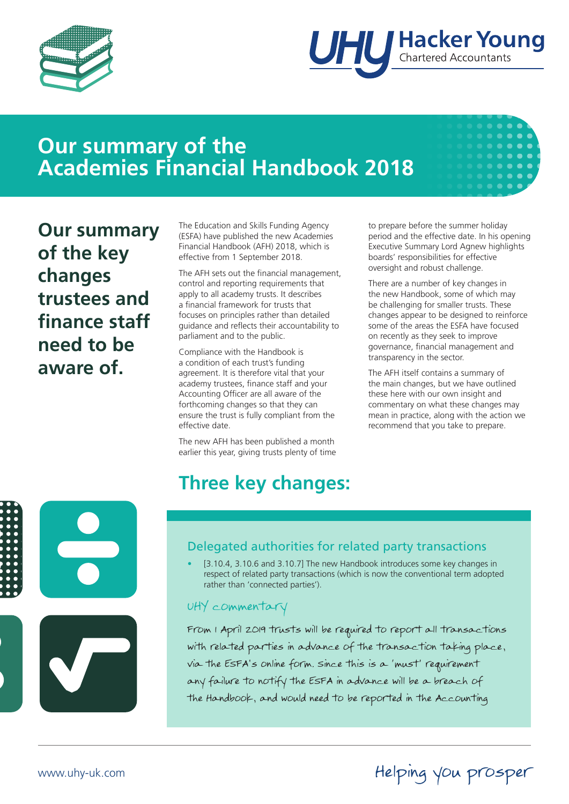



## **Our summary of the Academies Financial Handbook 2018**



The Education and Skills Funding Agency (ESFA) have published the new Academies Financial Handbook (AFH) 2018, which is effective from 1 September 2018.

The AFH sets out the financial management, control and reporting requirements that apply to all academy trusts. It describes a financial framework for trusts that focuses on principles rather than detailed guidance and reflects their accountability to parliament and to the public.

Compliance with the Handbook is a condition of each trust's funding agreement. It is therefore vital that your academy trustees, finance staff and your Accounting Officer are all aware of the forthcoming changes so that they can ensure the trust is fully compliant from the effective date.

The new AFH has been published a month earlier this year, giving trusts plenty of time

# **Three key changes:**

to prepare before the summer holiday period and the effective date. In his opening Executive Summary Lord Agnew highlights boards' responsibilities for effective oversight and robust challenge.

There are a number of key changes in the new Handbook, some of which may be challenging for smaller trusts. These changes appear to be designed to reinforce some of the areas the ESFA have focused on recently as they seek to improve governance, financial management and transparency in the sector.

The AFH itself contains a summary of the main changes, but we have outlined these here with our own insight and commentary on what these changes may mean in practice, along with the action we recommend that you take to prepare.

Helping you prosper





### Delegated authorities for related party transactions

• [3.10.4, 3.10.6 and 3.10.7] The new Handbook introduces some key changes in respect of related party transactions (which is now the conventional term adopted rather than 'connected parties').

#### UHY commentary

From 1 April 2019 trusts will be required to report all transactions with related parties in advance of the transaction taking place, via the ESFA's online form. Since this is a 'must' requirement any failure to notify the ESFA in advance will be a breach of the Handbook, and would need to be reported in the Accounting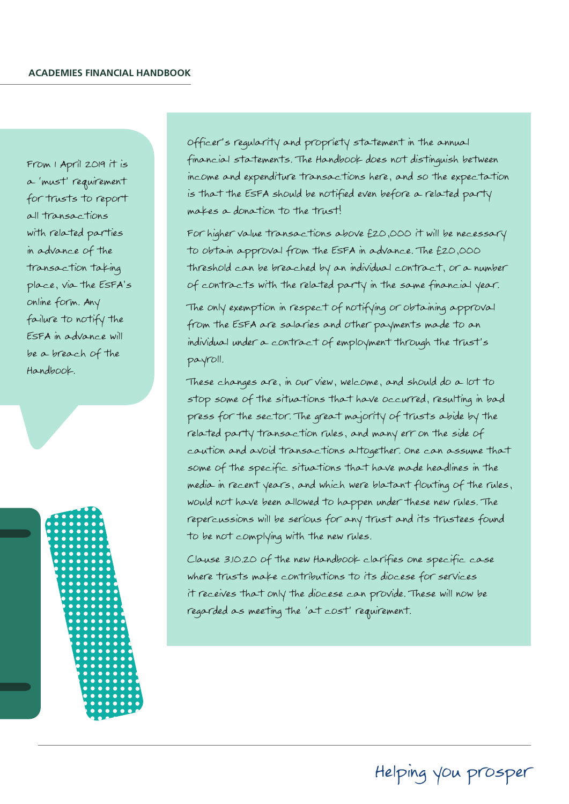From 1 April 2019 it is a 'must' requirement for trusts to report all transactions with related parties in advance of the transaction taking place, via the ESFA's online form. Any failure to notify the ESFA in advance will be a breach of the Handbook.



Officer's regularity and propriety statement in the annual financial statements. The Handbook does not distinguish between income and expenditure transactions here, and so the expectation is that the ESFA should be notified even before a related party makes a donation to the trust!

For higher value transactions above £20,000 it will be necessary to obtain approval from the ESFA in advance. The £20,000 threshold can be breached by an individual contract, or a number of contracts with the related party in the same financial year.

The only exemption in respect of notifying or obtaining approval from the ESFA are salaries and other payments made to an individual under a contract of employment through the trust's payroll.

These changes are, in our view, welcome, and should do a lot to stop some of the situations that have occurred, resulting in bad press for the sector. The great majority of trusts abide by the related party transaction rules, and many err on the side of caution and avoid transactions altogether. One can assume that some of the specific situations that have made headlines in the media in recent years, and which were blatant flouting of the rules, would not have been allowed to happen under these new rules. The repercussions will be serious for any trust and its trustees found to be not complying with the new rules.

Clause 3.10.20 of the new Handbook clarifies one specific case where trusts make contributions to its diocese for services it receives that only the diocese can provide. These will now be regarded as meeting the 'at cost' requirement.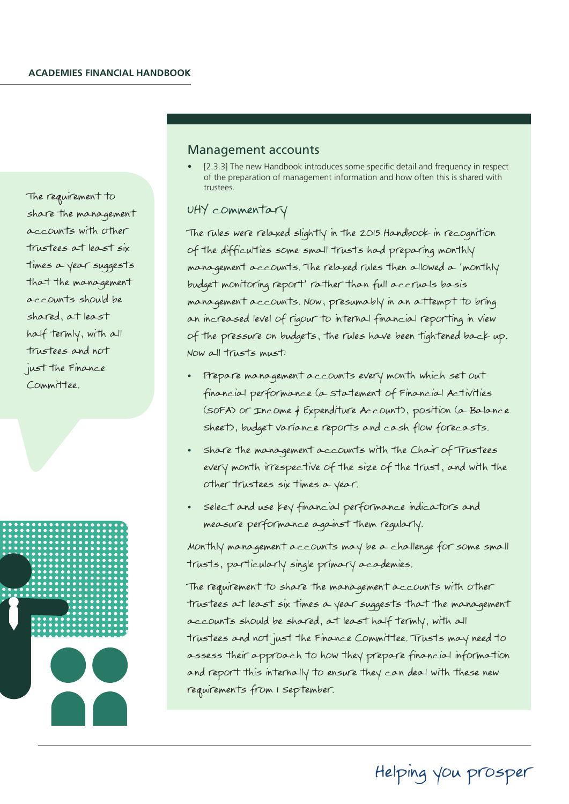The requirement to share the management accounts with other trustees at least six times a year suggests that the management accounts should be shared, at least half termly, with all trustees and not just the Finance Committee.



#### Management accounts

[2.3.3] The new Handbook introduces some specific detail and frequency in respect of the preparation of management information and how often this is shared with trustees.

#### UHY commentary

The rules were relaxed slightly in the 2015 Handbook in recognition of the difficulties some small trusts had preparing monthly management accounts. The relaxed rules then allowed a 'monthly budget monitoring report' rather than full accruals basis management accounts. Now, presumably in an attempt to bring an increased level of rigour to internal financial reporting in view of the pressure on budgets, the rules have been tightened back up. Now all trusts must:

- Prepare management accounts every month which set out financial performance (a Statement of Financial Activities (SoFA) or Income & Expenditure Account), position (a Balance Sheet), budget variance reports and cash flow forecasts.
- Share the management accounts with the Chair of Trustees every month irrespective of the size of the trust, and with the other trustees six times a year.
- select and use key financial performance indicators and measure performance against them regularly.

Monthly management accounts may be a challenge for some small trusts, particularly single primary academies.

The requirement to share the management accounts with other trustees at least six times a year suggests that the management accounts should be shared, at least half termly, with all trustees and not just the Finance Committee. Trusts may need to assess their approach to how they prepare financial information and report this internally to ensure they can deal with these new requirements from 1 September.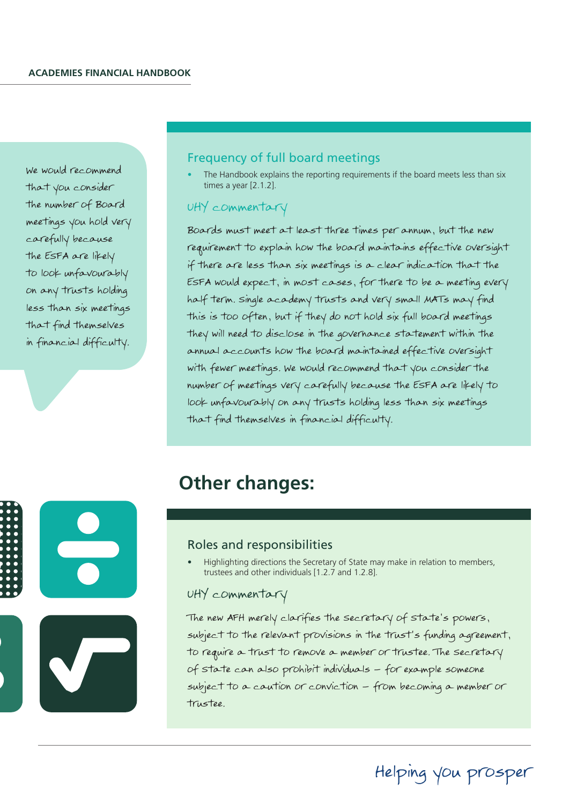We would recommend that you consider the number of Board meetings you hold very carefully because the ESFA are likely to look unfavourably on any trusts holding less than six meetings that find themselves in financial difficulty.

#### Frequency of full board meetings

The Handbook explains the reporting requirements if the board meets less than six times a year [2.1.2].

#### UHY commentary

Boards must meet at least three times per annum, but the new requirement to explain how the board maintains effective oversight if there are less than six meetings is a clear indication that the ESFA would expect, in most cases, for there to be a meeting every half term. Single academy trusts and very small MATs may find this is too often, but if they do not hold six full board meetings they will need to disclose in the governance statement within the annual accounts how the board maintained effective oversight with fewer meetings. We would recommend that you consider the number of meetings very carefully because the ESFA are likely to look unfavourably on any trusts holding less than six meetings that find themselves in financial difficulty.



### **Other changes:**

#### Roles and responsibilities

• Highlighting directions the Secretary of State may make in relation to members, trustees and other individuals [1.2.7 and 1.2.8].

#### UHY commentary

The new AFH merely clarifies the Secretary of State's powers, subject to the relevant provisions in the trust's funding agreement, to require a trust to remove a member or trustee. The Secretary of State can also prohibit individuals – for example someone subject to a caution or conviction – from becoming a member or trustee.

Helping you prosper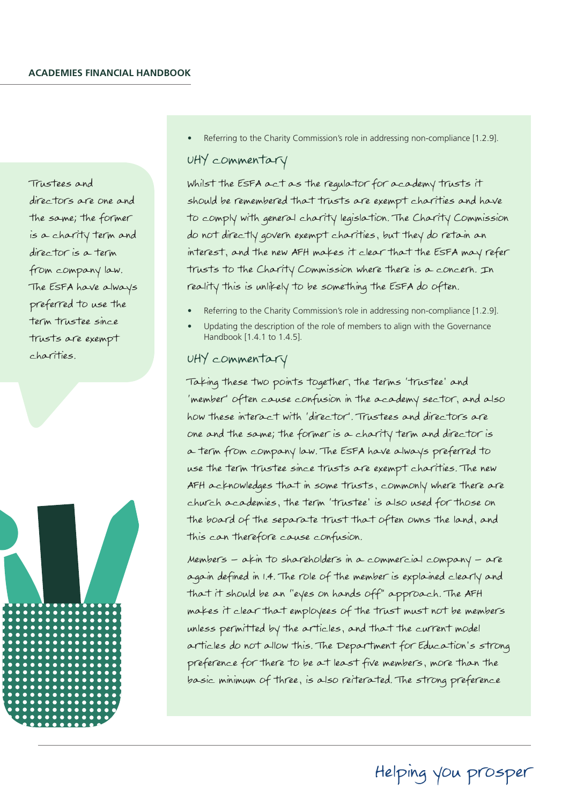Trustees and directors are one and the same; the former is a charity term and director is a term from company law. The ESFA have always preferred to use the term trustee since trusts are exempt charities.



Referring to the Charity Commission's role in addressing non-compliance [1.2.9].

#### UHY commentary

Whilst the ESFA act as the regulator for academy trusts it should be remembered that trusts are exempt charities and have to comply with general charity legislation. The Charity Commission do not directly govern exempt charities, but they do retain an interest, and the new AFH makes it clear that the ESFA may refer trusts to the Charity Commission where there is a concern. In reality this is unlikely to be something the ESFA do often.

- Referring to the Charity Commission's role in addressing non-compliance [1.2.9].
- Updating the description of the role of members to align with the Governance Handbook [1.4.1 to 1.4.5].

#### UHY commentary

Taking these two points together, the terms 'trustee' and 'member' often cause confusion in the academy sector, and also how these interact with 'director'. Trustees and directors are one and the same; the former is a charity term and director is a term from company law. The ESFA have always preferred to use the term trustee since trusts are exempt charities. The new AFH acknowledges that in some trusts, commonly where there are church academies, the term 'trustee' is also used for those on the board of the separate trust that often owns the land, and this can therefore cause confusion.

Members – akin to shareholders in a commercial company – are again defined in 1.4. The role of the member is explained clearly and that it should be an "eyes on hands off" approach. The AFH makes it clear that employees of the trust must not be members unless permitted by the articles, and that the current model articles do not allow this. The Department for Education's strong preference for there to be at least five members, more than the basic minimum of three, is also reiterated. The strong preference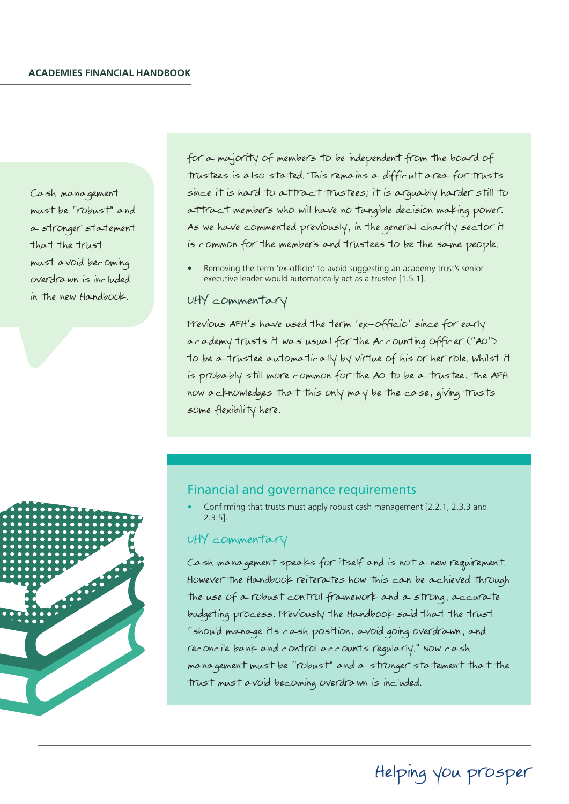Cash management must be "robust" and a stronger statement that the trust must avoid becoming overdrawn is included in the new Handbook.

for a majority of members to be independent from the board of trustees is also stated. This remains a difficult area for trusts since it is hard to attract trustees; it is arguably harder still to attract members who will have no tangible decision making power. As we have commented previously, in the general charity sector it is common for the members and trustees to be the same people.

Removing the term 'ex-officio' to avoid suggesting an academy trust's senior executive leader would automatically act as a trustee [1.5.1].

#### UHY commentary

Previous AFH's have used the term 'ex-officio' since for early academy trusts it was usual for the Accounting Officer ("AO") to be a trustee automatically by virtue of his or her role. Whilst it is probably still more common for the AO to be a trustee, the AFH now acknowledges that this only may be the case, giving trusts some flexibility here.



#### Financial and governance requirements

• Confirming that trusts must apply robust cash management [2.2.1, 2.3.3 and 2.3.5].

#### UHY commentary

Cash management speaks for itself and is not a new requirement. However the Handbook reiterates how this can be achieved through the use of a robust control framework and a strong, accurate budgeting process. Previously the Handbook said that the trust "should manage its cash position, avoid going overdrawn, and reconcile bank and control accounts regularly." Now cash management must be "robust" and a stronger statement that the trust must avoid becoming overdrawn is included.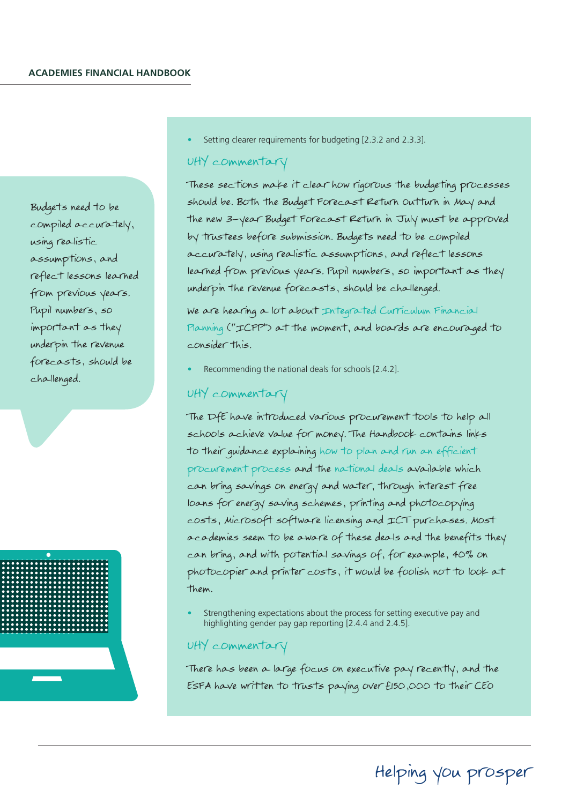Budgets need to be compiled accurately, using realistic assumptions, and reflect lessons learned from previous years. Pupil numbers, so important as they underpin the revenue forecasts, should be challenged.



Setting clearer requirements for budgeting [2.3.2 and 2.3.3].

#### UHY commentary

These sections make it clear how rigorous the budgeting processes should be. Both the Budget Forecast Return Outturn in May and the new 3-year Budget Forecast Return in July must be approved by trustees before submission. Budgets need to be compiled accurately, using realistic assumptions, and reflect lessons learned from previous years. Pupil numbers, so important as they underpin the revenue forecasts, should be challenged.

We are hearing a lot about Integrated Curriculum Financial Planning ("ICFP") at the moment, and boards are encouraged to consider this.

Recommending the national deals for schools [2.4.2].

#### UHY commentary

The DfE have introduced various procurement tools to help all schools achieve value for money. The Handbook contains links to their guidance explaining how to plan and run an efficient procurement process and the national deals available which can bring savings on energy and water, through interest free loans for energy saving schemes, printing and photocopying costs, Microsoft software licensing and ICT purchases. Most academies seem to be aware of these deals and the benefits they can bring, and with potential savings of, for example, 40% on photocopier and printer costs, it would be foolish not to look at them.

• Strengthening expectations about the process for setting executive pay and highlighting gender pay gap reporting [2.4.4 and 2.4.5].

#### UHY commentary

There has been a large focus on executive pay recently, and the ESFA have written to trusts paying over £150,000 to their CEO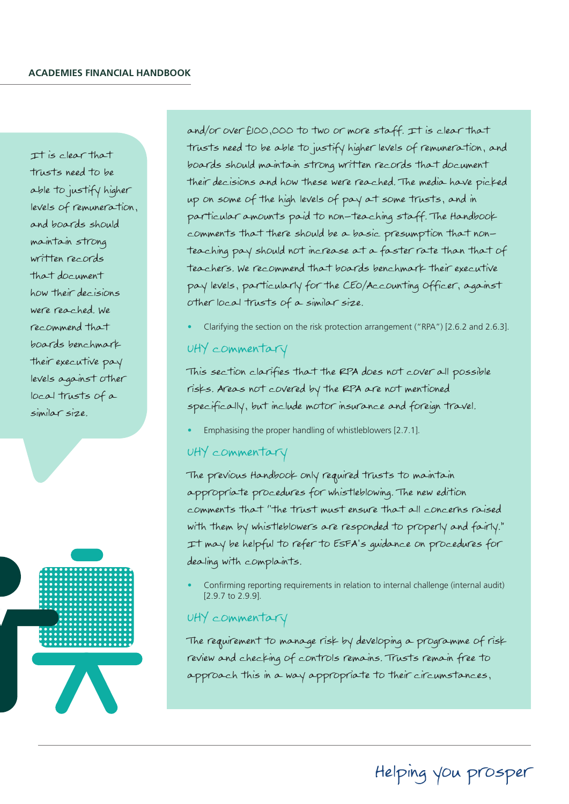It is clear that trusts need to be able to justify higher levels of remuneration, and boards should maintain strong written records that document how their decisions were reached. We recommend that boards benchmark their executive pay levels against other local trusts of a similar size.



and/or over £100,000 to two or more staff. It is clear that trusts need to be able to justify higher levels of remuneration, and boards should maintain strong written records that document their decisions and how these were reached. The media have picked up on some of the high levels of pay at some trusts, and in particular amounts paid to non-teaching staff. The Handbook comments that there should be a basic presumption that nonteaching pay should not increase at a faster rate than that of teachers. We recommend that boards benchmark their executive pay levels, particularly for the CEO/Accounting Officer, against other local trusts of a similar size.

• Clarifying the section on the risk protection arrangement ("RPA") [2.6.2 and 2.6.3].

#### UHY commentary

This section clarifies that the RPA does not cover all possible risks. Areas not covered by the RPA are not mentioned specifically, but include motor insurance and foreign travel.

• Emphasising the proper handling of whistleblowers [2.7.1].

#### UHY commentary

The previous Handbook only required trusts to maintain appropriate procedures for whistleblowing. The new edition comments that "the trust must ensure that all concerns raised with them by whistleblowers are responded to properly and fairly." It may be helpful to refer to ESFA's guidance on procedures for dealing with complaints.

• Confirming reporting requirements in relation to internal challenge (internal audit) [2.9.7 to 2.9.9].

#### UHY commentary

The requirement to manage risk by developing a programme of risk review and checking of controls remains. Trusts remain free to approach this in a way appropriate to their circumstances,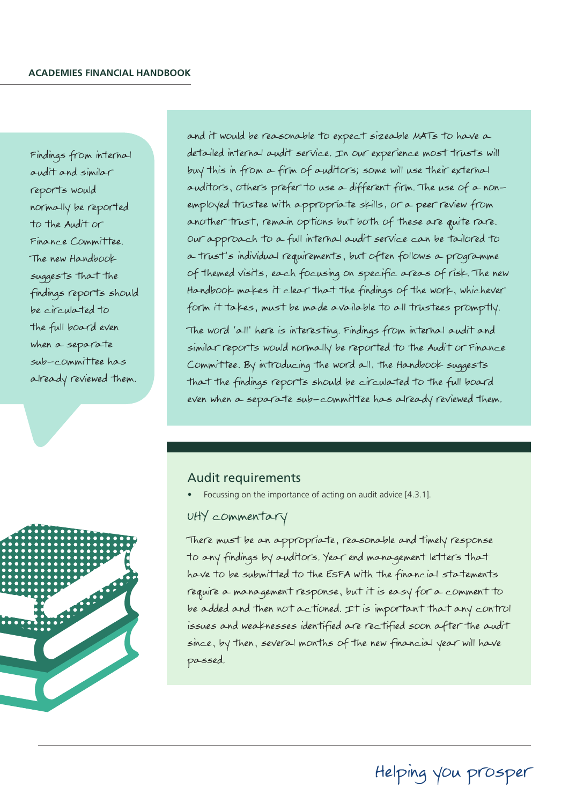Findings from internal audit and similar reports would normally be reported to the Audit or Finance Committee. The new Handbook suggests that the findings reports should be circulated to the full board even when a separate sub-committee has already reviewed them.



and it would be reasonable to expect sizeable MATs to have a detailed internal audit service. In our experience most trusts will buy this in from a firm of auditors; some will use their external auditors, others prefer to use a different firm. The use of a nonemployed trustee with appropriate skills, or a peer review from another trust, remain options but both of these are quite rare. Our approach to a full internal audit service can be tailored to a trust's individual requirements, but often follows a programme of themed visits, each focusing on specific areas of risk. The new Handbook makes it clear that the findings of the work, whichever form it takes, must be made available to all trustees promptly.

The word 'all' here is interesting. Findings from internal audit and similar reports would normally be reported to the Audit or Finance Committee. By introducing the word all, the Handbook suggests that the findings reports should be circulated to the full board even when a separate sub-committee has already reviewed them.

#### Audit requirements

Focussing on the importance of acting on audit advice [4.3.1].

#### UHY commentary

There must be an appropriate, reasonable and timely response to any findings by auditors. Year end management letters that have to be submitted to the ESFA with the financial statements require a management response, but it is easy for a comment to be added and then not actioned. It is important that any control issues and weaknesses identified are rectified soon after the audit since, by then, several months of the new financial year will have passed.

## Helping you prosper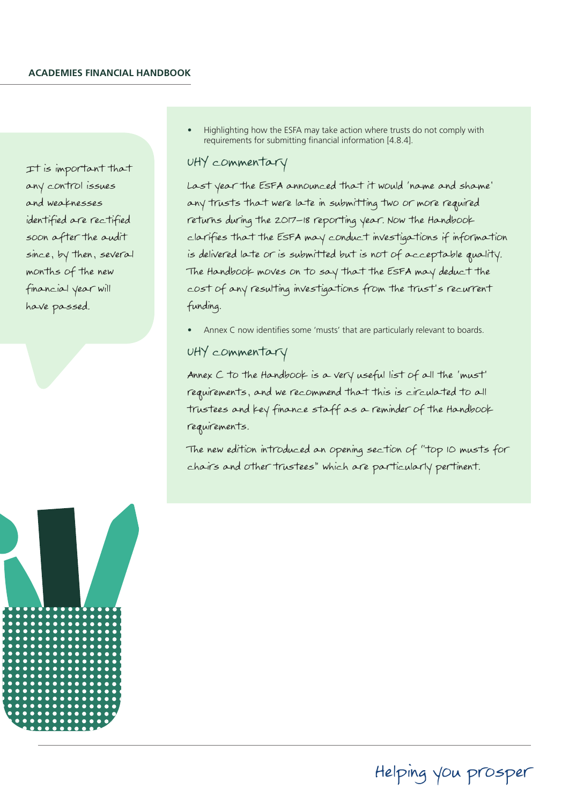It is important that any control issues and weaknesses identified are rectified soon after the audit since, by then, several months of the new financial year will have passed.

• Highlighting how the ESFA may take action where trusts do not comply with requirements for submitting financial information [4.8.4].

#### UHY commentary

Last year the ESFA announced that it would 'name and shame' any trusts that were late in submitting two or more required returns during the 2017-18 reporting year. Now the Handbook clarifies that the ESFA may conduct investigations if information is delivered late or is submitted but is not of acceptable quality. The Handbook moves on to say that the ESFA may deduct the cost of any resulting investigations from the trust's recurrent funding.

Annex C now identifies some 'musts' that are particularly relevant to boards.

#### UHY commentary

Annex C to the Handbook is a very useful list of all the 'must' requirements, and we recommend that this is circulated to all trustees and key finance staff as a reminder of the Handbook requirements.

The new edition introduced an opening section of "top 10 musts for chairs and other trustees" which are particularly pertinent.



### Helping you prosper